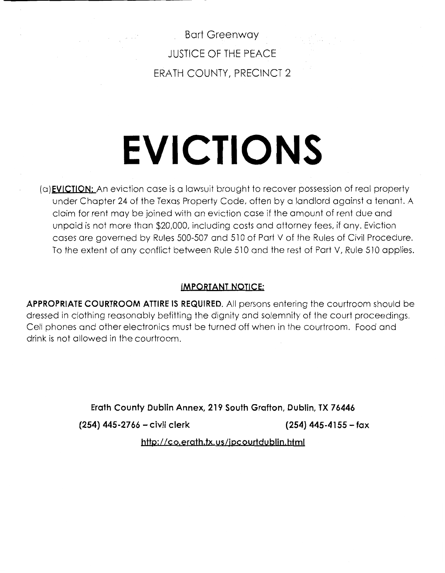Bart Greenway JUSTICE OF THE PEACE ERATH COUNTY, PRECINCT 2

# **EVICTIONS**

**(a)EVICJION:** An eviction case is a lawsuit brought to recover possession of real property under Chapter 24 of the Texas Property Code, often by a landlord against a tenant. A claim for rent may be joined with an eviction case if the amount of rent due and unpaid is not more than \$20,000, including costs and attorney fees, if any. Eviction cases are governed by Rules 500-507 and 510 of Part V of the Rules of Civil Procedure. To the extent of any conflict between Rule 510 and the rest of Part V, Rule 510 applies.

# **IMPORTANT NOTICE:**

**APPROPRIATE COURTROOM ATTIRE IS REQUIRED.** All persons entering the courtroom should be dressed in clothing reasonably befitting the dignity and solemnity of the court proceedings. Cell phones and other electronics must be turned off when in the courtroom. Food and drink is not allowed in the courtroom.

**Erath County Dublin Annex, 219 South Grafton, Dublin, TX 76446** 

**(254) 445-2766 - civil clerk (254) 445-4155 -fax** 

http://co.erath.tx.us/ipcourtdublin.html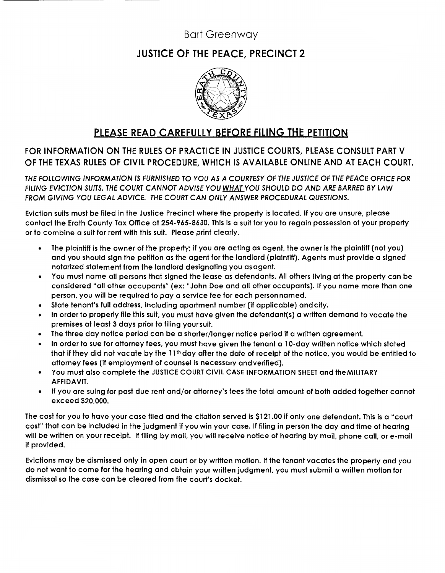# Bart Greenway

# JUSTICE OF THE PEACE, PRECINCT 2



# PLEASE READ CAREFULLY BEFORE FILING THE PETITION

FOR INFORMATION ON THE RULES OF PRACTICE IN JUSTICE COURTS, PLEASE CONSULT PART V OF THE TEXAS RULES OF CIVIL PROCEDURE, WHICH IS AVAILABLE ONLINE AND AT EACH COURT.

THE FOLLOWING INFORMATION IS FURNISHED TO YOU AS A COURTESY OF THE JUSTICE OF THE PEACE OFFICE FOR FILING EVICTION SUITS. THE COURT CANNOT ADVISE YOU WHAT YOU SHOULD DO AND ARE BARRED BY LAW FROM GIVING YOU LEGAL ADVICE. THE COURT CAN ONLY ANSWER PROCEDURAL QUESTIONS.

Eviction suits must be filed in the Justice Precinct where the property is located. If you are unsure, please contact the Erath County Tax Office at 254-965-8630. This is a suit for you to regain possession of your property or to combine a suit for rent with this suit. Please print clearly.

- The plaintiff is the owner of the property; if you are acting as agent, the owner is the plaintiff (not you) and you should sign the petition as the agent for the landlord (plaintiff). Agents must provide a signed notarized statement from the landlord designating you as agent.
- You must name all persons that signed the lease as defendants. All others living at the property can be considered "all other occupants" (ex: "John Doe and all other occupants). If you name more than one person, you will be required to pay a service fee for each person named.
- State tenant's full address, including apartment number (if applicable) and city.
- In order to properly file this suit, you must have given the defendant(s) a written demand to vacate the premises at least 3 days prior to filing your suit.
- The three day notice period can be a shorter/longer notice period if a written agreement.
- In order to sue for attorney fees, you must have given the tenant a 10-day written notice which stated that if they did not vacate by the 11th day after the date of receipt of the notice, you would be entitled to attorney fees (if employment of counsel is necessary and verified).
- You must also complete the JUSTICE COURT CIVIL CASE INFORMATION SHEET and the MILITARY **AFFIDAVIT.**
- If you are suing for past due rent and/or attorney's fees the total amount of both added together cannot exceed \$20,000.

The cost for you to have your case filed and the citation served is \$121.00 if only one defendant. This is a "court cost" that can be included in the judgment if you win your case. If filing in person the day and time of hearing will be written on your receipt. If filing by mail, you will receive notice of hearing by mail, phone call, or e-mail if provided.

Evictions may be dismissed only in open court or by written motion. If the tenant vacates the property and you do not want to come for the hearing and obtain your written judgment, you must submit a written motion for dismissal so the case can be cleared from the court's docket.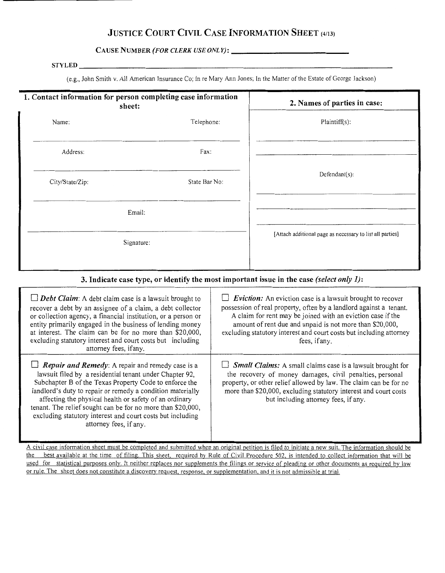# **JUSTICE COURT CIVIL CASE INFORMATION SHEET** (4113)

**CAUSE NUMBER (FOR CLERK USE ONLY):-------------**

#### **STYLED**

(e.g., John Smith v. All American Insurance Co; In re Mary Ann Jones; In the Matter of the Estate of George Jackson)

| 1. Contact information for person completing case information<br>sheet:                                                                                                                                                                                                                                                                                                                                             | 2. Names of parties in case:                                                                                                                                                                                                                                                                                                                               |                                                           |
|---------------------------------------------------------------------------------------------------------------------------------------------------------------------------------------------------------------------------------------------------------------------------------------------------------------------------------------------------------------------------------------------------------------------|------------------------------------------------------------------------------------------------------------------------------------------------------------------------------------------------------------------------------------------------------------------------------------------------------------------------------------------------------------|-----------------------------------------------------------|
| Telephone:<br>Name:                                                                                                                                                                                                                                                                                                                                                                                                 |                                                                                                                                                                                                                                                                                                                                                            | Plaintiff(s):                                             |
| Fax:<br>Address:                                                                                                                                                                                                                                                                                                                                                                                                    |                                                                                                                                                                                                                                                                                                                                                            |                                                           |
| City/State/Zip:                                                                                                                                                                                                                                                                                                                                                                                                     | State Bar No:                                                                                                                                                                                                                                                                                                                                              | $Defendant(s)$ :                                          |
| Email:                                                                                                                                                                                                                                                                                                                                                                                                              |                                                                                                                                                                                                                                                                                                                                                            |                                                           |
| Signature:                                                                                                                                                                                                                                                                                                                                                                                                          |                                                                                                                                                                                                                                                                                                                                                            | [Attach additional page as necessary to list all parties] |
| 3. Indicate case type, or identify the most important issue in the case (select only $I$ ):                                                                                                                                                                                                                                                                                                                         |                                                                                                                                                                                                                                                                                                                                                            |                                                           |
| $\Box$ <b>Debt Claim:</b> A debt claim case is a lawsuit brought to<br>recover a debt by an assignee of a claim, a debt collector<br>or collection agency, a financial institution, or a person or<br>entity primarily engaged in the business of lending money<br>at interest. The claim can be for no more than \$20,000,<br>excluding statutory interest and court costs but including<br>attorney fees, if any. | <i>Eviction:</i> An eviction case is a lawsuit brought to recover<br>possession of real property, often by a landlord against a tenant.<br>A claim for rent may be joined with an eviction case if the<br>amount of rent due and unpaid is not more than \$20,000,<br>excluding statutory interest and court costs but including attorney<br>fees, if any. |                                                           |

**D** *Small Claims:* A small claims case is a lawsuit brought for the recovery of money damages, civil penalties, personal property, or other relief allowed by law. The claim can be for no more than \$20,000, excluding statutory interest and court costs but including attorney fees, if any.

affecting the physical health or safety of an ordinary tenant. The relief sought can be for no more than \$20,000, excluding statutory interest and court costs but including attorney fees, if any.

*Repair and Remedy:* A repair and remedy case is a lawsuit filed by a residential tenant under Chapter 92, Subchapter B of the Texas Property Code to enforce the landlord's duty to repair or remedy a condition materially

A civil case information sheet must be completed and submitted when an original petition is filed to initiate a new suit. The information should be the best available at the time of filing. This sheet, required by Rule of Civil Procedure 502, is intended to collect information that will be used for statistical purposes only. It neither replaces nor supplements the filings or service of pleading or other documents as required by law or rule. The sheet does not constitute a discovery request, response, or supplementation, and it is not admissible at trial.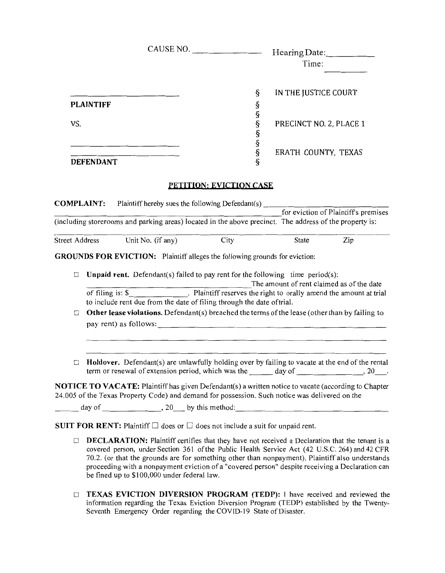|                       |                  |                                                                                                                                                                                                              | CAUSE NO.                                                          | Hearing Date:                             |                                      |
|-----------------------|------------------|--------------------------------------------------------------------------------------------------------------------------------------------------------------------------------------------------------------|--------------------------------------------------------------------|-------------------------------------------|--------------------------------------|
|                       |                  |                                                                                                                                                                                                              |                                                                    | Time:                                     |                                      |
|                       |                  |                                                                                                                                                                                                              | ş                                                                  | IN THE JUSTICE COURT                      |                                      |
|                       | <b>PLAINTIFF</b> |                                                                                                                                                                                                              | ş                                                                  |                                           |                                      |
| VS.                   |                  |                                                                                                                                                                                                              | ş<br>ş<br>ş                                                        | PRECINCT NO. 2, PLACE 1                   |                                      |
|                       | <b>DEFENDANT</b> |                                                                                                                                                                                                              | §<br>§<br>ş                                                        | ERATH COUNTY, TEXAS                       |                                      |
|                       |                  |                                                                                                                                                                                                              |                                                                    |                                           |                                      |
|                       |                  |                                                                                                                                                                                                              | PETITION: EVICTION CASE                                            |                                           |                                      |
|                       |                  | <b>COMPLAINT:</b> Plaintiff hereby sues the following Defendant(s)                                                                                                                                           |                                                                    |                                           |                                      |
|                       |                  |                                                                                                                                                                                                              |                                                                    |                                           | for eviction of Plaintiff's premises |
|                       |                  | (including storerooms and parking areas) located in the above precinct. The address of the property is:                                                                                                      |                                                                    |                                           |                                      |
| <b>Street Address</b> |                  | Unit No. (if any)                                                                                                                                                                                            | City                                                               | <b>State</b>                              | Zip                                  |
|                       |                  | <b>GROUNDS FOR EVICTION:</b> Plaintiff alleges the following grounds for eviction:                                                                                                                           |                                                                    |                                           |                                      |
|                       |                  |                                                                                                                                                                                                              |                                                                    |                                           |                                      |
| □                     |                  | <b>Unpaid rent.</b> Defendant(s) failed to pay rent for the following time period(s):                                                                                                                        |                                                                    | The amount of rent claimed as of the date |                                      |
|                       |                  | of filing is: $\$                                                                                                                                                                                            | . Plaintiff reserves the right to orally amend the amount at trial |                                           |                                      |
|                       |                  | to include rent due from the date of filing through the date of trial.                                                                                                                                       |                                                                    |                                           |                                      |
| □                     |                  | Other lease violations. Defendant(s) breached the terms of the lease (other than by failing to                                                                                                               |                                                                    |                                           |                                      |
|                       |                  |                                                                                                                                                                                                              |                                                                    |                                           |                                      |
|                       |                  |                                                                                                                                                                                                              |                                                                    |                                           |                                      |
|                       |                  | Holdover. Defendant(s) are unlawfully holding over by failing to vacate at the end of the rental<br>term or renewal of extension period, which was the day of ________________________, 20___.               |                                                                    |                                           |                                      |
|                       |                  | <b>NOTICE TO VACATE:</b> Plaintiff has given Defendant(s) a written notice to vacate (according to Chapter<br>24.005 of the Texas Property Code) and demand for possession. Such notice was delivered on the |                                                                    |                                           |                                      |
|                       |                  | $\frac{1}{\sqrt{1-\frac{1}{2}}}\text{day of }$ $\frac{1}{\sqrt{1-\frac{1}{2}}}\text{day of }$ $\frac{1}{\sqrt{1-\frac{1}{2}}}\text{day of }$                                                                 |                                                                    |                                           |                                      |
|                       |                  |                                                                                                                                                                                                              |                                                                    |                                           |                                      |
|                       |                  | SUIT FOR RENT: Plaintiff $\square$ does or $\square$ does not include a suit for unpaid rent.                                                                                                                |                                                                    |                                           |                                      |
| □                     |                  | <b>DECLARATION:</b> Plaintiff certifies that they have not received a Declaration that the tenant is a<br>covered person, under Section 361 of the Public Health Service Act (42 U.S.C. 264) and 42 CFR      |                                                                    |                                           |                                      |

- covered person, under Section 361 of the Public Health Service Act (42 U.S.C. 264) and 42 CFR 70.2. (or that the grounds are for something other than nonpayment). Plaintiff also understands proceeding with a nonpayment eviction of a "covered person" despite receiving a Declaration can be fined up to \$100,000 under federal law.
- D **TEXAS EVICTION DIVERSION PROGRAM (TEDP):** I have received and reviewed the information regarding the Texas Eviction Diversion Program (TEDP) established by the Twenty-Seventh Emergency Order regarding the COVID-19 State of Disaster.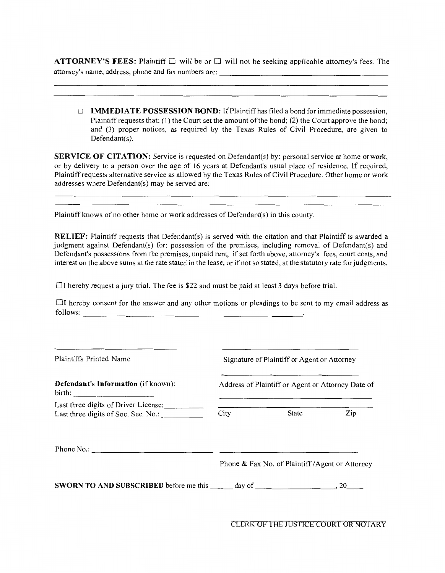**ATTORNEY'S FEES:** Plaintiff D will be or D will not be seeking applicable attorney's fees. The attorney's name, address, phone and fax numbers are: --------------------

□ **IMMEDIATE POSSESSION BOND:** If Plaintiff has filed a bond for immediate possession, Plaintiff requests that: (I) the Court set the amount of the bond; (2) the Court approve the bond; and (3) proper notices, as required by the Texas Rules of Civil Procedure, are given to Defendant $(s)$ .

**SERVICE OF CITATION:** Service is requested on Defendant(s) by: personal service at home or work, or by delivery to a person over the age of 16 years at Defendant's usual place of residence. If required, Plaintiff requests alternative service as allowed by the Texas Rules of Civil Procedure. Other home or work addresses where Defendant(s) may be served are:

Plaintiff knows of no other home or work addresses of Defendant(s) in this county.

**RELIEF:** Plaintiff requests that Defendant(s) is served with the citation and that Plaintiff is awarded a judgment against Defendant(s) for: possession of the premises, including removal of Defendant(s) and Defendant's possessions from the premises, unpaid rent, if set forth above, attorney's fees, court costs, and interest on the above sums at the rate stated in the lease, or if not so stated, at the statutory rate for judgments.

 $\Box$ I hereby request a jury trial. The fee is \$22 and must be paid at least 3 days before trial.

 $\Box$ I hereby consent for the answer and any other motions or pleadings to be sent to my email address as follows: --------------------------

| <b>Plaintiffs Printed Name</b>                                              |      | Signature of Plaintiff or Agent or Attorney       |     |
|-----------------------------------------------------------------------------|------|---------------------------------------------------|-----|
| <b>Defendant's Information</b> (if known):<br>birth:                        |      | Address of Plaintiff or Agent or Attorney Date of |     |
| Last three digits of Driver License:<br>Last three digits of Soc. Sec. No.: | City | State                                             | Zip |
|                                                                             |      |                                                   |     |
| <b>SWORN TO AND SUBSCRIBED</b> before me this $\qquad \qquad$ day of        |      | Phone & Fax No. of Plaintiff / Agent or Attorney  | .20 |

CLERK OF THE JUSTICE COURT OR NOTARY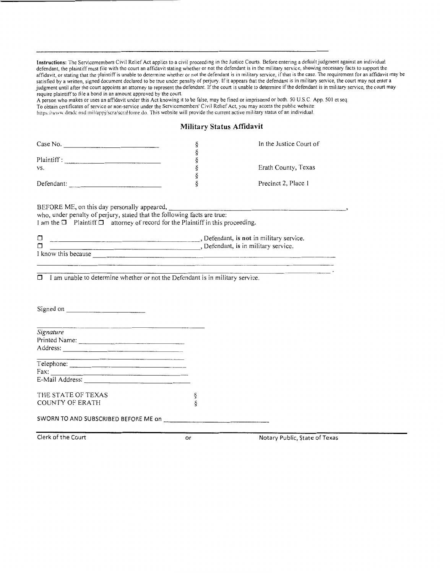**Instructions:** The Servicemembers Civil Relief Act applies to a civil proceeding in the Justice Courts. Before entering a default judgment against an individual defendant, the plaintiff must file with the court an affidavit stating whether or not the defendant is in the military service, showing necessary facts to support the affidavit, or stating that the plaintiff is unable to determine whether or not the defendant is m military service, if that is the case. The requirement for an affidavit may be satisfied by a written, signed document declared to be true under penalty of perjury. If it appears that the defendant is in military service, the court may not enter a judgment until after the court appoints an attorney to represent the defendant. If the court is unable to determine if the defendant is in military service, the court may judgment until after the court may require plaintiff to file a bond in an amount approved by the court.

A person who makes or uses an affidavit under this Act knowing 1t to be false, may be fined or imprisoned or both. 50 U.S.C App. 501 et seq. To obtain certificates of service or non-service under the Servicemembers' Civil Relief Act, you may access the public website: https://www.dmdc.osd.mil/appj/scra/scraHome.do. This website will provide the current active military status of an individual.

#### **Military Status Affidavit**

| Case No.                                                                                                                                                                                                                             | §      | In the Justice Court of       |
|--------------------------------------------------------------------------------------------------------------------------------------------------------------------------------------------------------------------------------------|--------|-------------------------------|
|                                                                                                                                                                                                                                      | §<br>ş |                               |
| VS.                                                                                                                                                                                                                                  | ş      | Erath County, Texas           |
|                                                                                                                                                                                                                                      | ş      |                               |
|                                                                                                                                                                                                                                      | ş      | Precinct 2, Place 1           |
| BEFORE ME, on this day personally appeared,<br>who, under penalty of perjury, stated that the following facts are true:<br>I am the $\Box$ Plaintiff $\Box$ attorney of record for the Plaintiff in this proceeding.                 |        |                               |
| Defendant, is not in military service.<br>□                                                                                                                                                                                          |        |                               |
| Defendant, is in military service.<br>⊓                                                                                                                                                                                              |        |                               |
| I know this because <u>the contract of the contract of the contract of the contract of the contract of the contract of the contract of the contract of the contract of the contract of the contract of the contract of the contr</u> |        |                               |
|                                                                                                                                                                                                                                      |        |                               |
| <u> The Communication of the Communication of the Communication of the Communication of the Communication of the Co</u><br>Signature                                                                                                 |        |                               |
|                                                                                                                                                                                                                                      |        |                               |
| Address:                                                                                                                                                                                                                             |        |                               |
| Telephone:                                                                                                                                                                                                                           |        |                               |
|                                                                                                                                                                                                                                      |        |                               |
|                                                                                                                                                                                                                                      |        |                               |
| THE STATE OF TEXAS                                                                                                                                                                                                                   |        |                               |
| <b>COUNTY OF ERATH</b>                                                                                                                                                                                                               | ş<br>ş |                               |
|                                                                                                                                                                                                                                      |        |                               |
| Clerk of the Court                                                                                                                                                                                                                   | or     | Notary Public, State of Texas |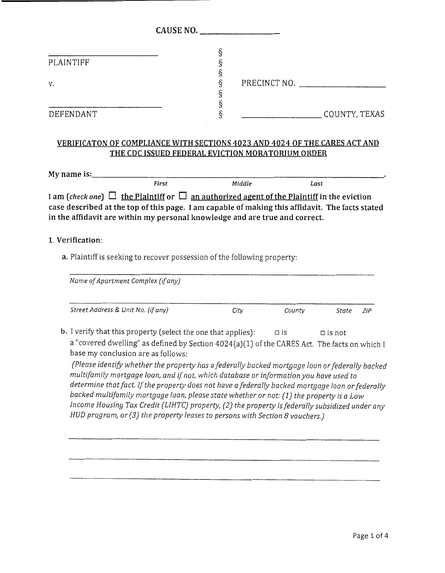|                                                                                                                                    | CAUSE NO. |        |               |       |     |
|------------------------------------------------------------------------------------------------------------------------------------|-----------|--------|---------------|-------|-----|
| PLAINTIFF                                                                                                                          | Ş         |        |               |       |     |
| v.                                                                                                                                 |           |        | PRECINCT NO.  |       |     |
| DEFENDANT                                                                                                                          | ş         |        | COUNTY, TEXAS |       |     |
| VERIFICATON OF COMPLIANCE WITH SECTIONS 4023 AND 4024 OF THE CARES ACT AND<br>THE CDC ISSUED FEDERAL EVICTION MORATORIUM ORDER     |           |        |               |       |     |
| First                                                                                                                              |           | Middle | Last          |       |     |
| in the affidavit are within my personal knowledge and are true and correct.                                                        |           |        |               |       |     |
| 1. Verification:<br>a. Plaintiff is seeking to recover possession of the following property:<br>Name of Apartment Complex (if any) |           |        |               |       |     |
| Street Address & Unit No. (if any)                                                                                                 |           | City   | County        | State | ZIP |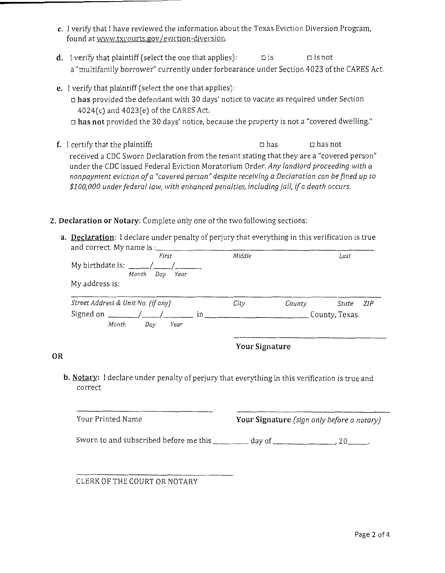- **c.** I verify that I have reviewed the information about the Texas Eviction Diversion Program, found at www.txcourts.gov/eviction-diversion.
- **d.** I verify that plaintiff (select the one that applies):  $\Box$  is  $\Box$  is not a "multifamily borrower" currently under forbearance under Section 4023 of the CARES Act.
- **e.** I verify that plaintiff (select the one that applies):
	- o **has** provided the defendant with 30 days' notice to vacate as required under Section 4024(c) and 4023(e) of the CARES Act.
	- o **has not** provided the 30 days' notice, because the property is not a "covered dwelling."
- f. I certify that the plaintiff:  $\Box$  has  $\Box$  has not received a CDC Sworn Declaration from the tenant stating that they are a "covered person" under the CDC issued Federal Eviction Moratorium Order. *Any landlord proceeding with a nonpayment eviction of a "covered person" despite receiving a Declaration can be fined up to \$100,000 under federal law, with enhanced penalties, including jail, if a death occurs.*
- **2. Declaration or Notary:** Complete only one of the two following sections:
	- **a. Declaration:** I declare under penalty of perjury that everything in this verification is true and correct. My name is: \_\_\_\_\_\_\_\_\_\_\_\_\_\_\_\_\_\_\_\_\_\_\_ \_

| First                                            | Middle |        | Last           |
|--------------------------------------------------|--------|--------|----------------|
| My birthdate is: $\frac{1}{\frac{1}{2} \cdot 1}$ |        |        |                |
| Month<br>Day<br>Year                             |        |        |                |
| My address is:                                   |        |        |                |
| Street Address & Unit No. (if any)               | City   | County | ZIP<br>State   |
| Signed on $\frac{1}{2}$ / /<br>in                |        |        | County, Texas. |
| Month<br>Day<br>Year                             |        |        |                |
|                                                  |        |        |                |

**Your Signature** 

#### **OR**

**b. Notary:** I declare under penalty of perjury that everything in this verification is true and correct

| Your Printed Name                      |        | <b>Your Signature</b> (sign only before a notary) |
|----------------------------------------|--------|---------------------------------------------------|
| Sworn to and subscribed before me this | day of | 20.                                               |

CLERK OF THE COURT OR NOTARY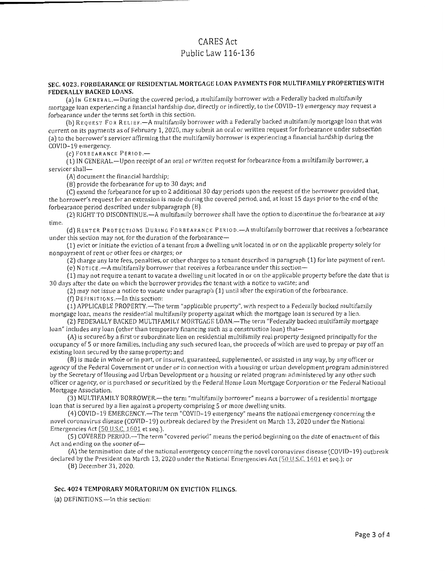#### **SEC. 4023. FORBEARANCE OF RESIDENTIAL MORTGAGE LOAN PAYMENTS FOR MULTIFAMILY PROPERTIES WITH FEDERALLY BACKED LOANS.**

(a) IN GENERAL.-During the covered period, a multifamily borrower with a Federally backed multifamily mortgage loan experiencing a financial hardship due, directly or indirectly, to the COVfD-19 emergency may request a forbearance under the terms set forth in this section.

(b) R EQ u EST Fo R RELIEF .-A multifamily borrower with a Federally backed multifamily mortgage loan that was current on its payments as of February 1, 2020, may submit an oral or written request for forbearance under subsection (a) to the borrower's servicer affirming that the multifamily borrower is experiencing a financial hardship during the COVID-19 emergency.

(c) FORBEARANCE PERIOD.-

(1) IN GENERAL.-Upon receipt of an oral or written request for forbearance from a multifamily borrower, a servicer shall-

(A) document the financial hardship;

(B) provide the forbearance for up to 30 days; and

(C) extend the forbearance for up to 2 additional 30 day periods upon the request of the borrower provided that, the borrower's request for an extension is made during the covered period, and, at least 15 days prior to the end of the forbearance period described under subparagraph (B).

(2) RIGHT TO DISCONT!NUE.-A multifamily borrower shall have the option to discontinue the forbearance at any time.

(d) RENTER PROTECTIONS DURING FORBEARANCE PER!OD.-A multifamily borrower that receives a forbearance under this section may not, for the duration of the forbearance-

(1) evict or initiate the eviction of a tenant from a dwelling unit located in or on the applicable property solely for nonpayment of rent or other fees or charges; or

(2) charge any late fees, penalties, or other charges to a tenant described in paragraph (1) for late payment of rent.

(e) NOTICE .- A multifamily borrower that receives a forbearance under this section-

( 1) may not require a tenant to vacate a dwelling unit located in or on the applicable property before the elate that is 30 days after the date on which the borrower provides the tenant with a notice to vacate; and

(2) may not issue a notice to vacate under paragraph (1) until after the expiration of the forbearance.

(f) DErlNITIONs.-In this section:

(1) APPLICABLE PROPERTY.-The term "applicable property", with respect to a Federally backed multifamily mortgage loan, means the residential multifamily property against which the mortgage loan is secured by a lien.

(2) FEDERALLY BACKED MULTIFAMILY MORTGAGE LOAN.-The term "Federally backed multifamily mortgage loan" includes any loan (other than temporary financing such as a construction loan) that-

(A) is secured by a first or subordinate lien on residential multifamily real property designed principally for the occupancy of 5 or more families, including any such secured loan, the proceeds of which arc used to prepay or pay off an existing loan secured by the same property; and

(BJ is made in whole or in part, or insured, guaranteed, supplemented, or assisted in any way, by any officer or agency of the Federal Government or under or in connection with a housing or urban development program administered by the Secretary of Housing and Urban Development or a housing or related program administered by any other such officer or agency, or is purchased or securitized by the Federal Home Loan Mortgage Corporation or the Federal National Mortgage Association.

(3) MULTIFAMILY BORROWER.-the term "multifamily borrower" means a borrower of a residential mortgage loan that is secured by a lien against a property comprising 5 or more dwelling units.

( 4) COVID-19 EMERGENCY.-The term "COVID-19 emergency" means the national emergency concerning the novel coronavirus disease (COVID-19) outbreak declared by the President on March 13, 2020 under the National Emergencies Act (50 U.S.C, 1601 et seq.).

(5) COVERED PERIOD.-The term "covered period" means the period beginning on the date of enactment of this Act and ending on the sooner of- $-$ 

(A) the termination date of the national emergency concerning the novel coronavirus disease (COVID-19) outbreak declared by the President on March 13, 2020 under the National Emergencies Act ( $50$  U.S.C. 1601 et seq.); or

(B) December 31, 2020.

#### **Sec. 4024 TEMPORARY MORATORIUM ON EVICTION FILINGS.**

(a) DEFINITIONS.-In this section: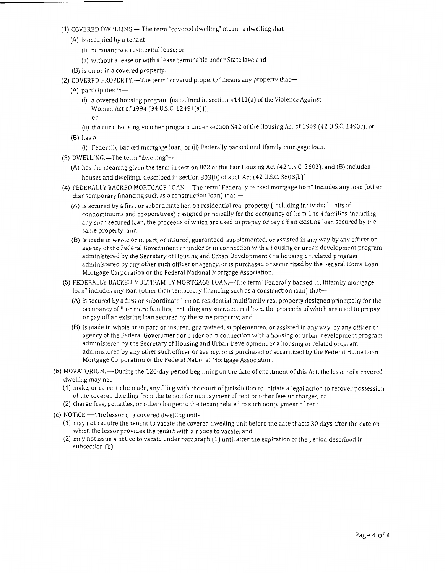- (1) COVERED DWELLING.- The term "covered dwelling" means a dwelling that-
	- $(A)$  is occupied by a tenant-
		- (i) pursuant to a residential lease; or
		- (ii) without a lease or with a lease terminable under State law; and
	- (8) is on or in a covered property.
- (2) COVERED PROPERTY.-The term "covered property" means any property that-
	- (A) participates in-
		- (i) a covered housing program (as defined in section 4141l(a) of the Violence Against Women Act of 1994 (34 U.S.C. 12491(a))); or
		- (ii) the rural housing voucher program under section 542 of the Housing Act of 1949 ( 42 U.S.C. 1490r); or
	- $(B)$  has a-
		- (i) Federally backed mortgage loan; or (ii) Federally backed multifamily mortgage loan.
- (3) DWELLING.-The term "dwelling"--
	- (A) has the meaning given the term in section 802 of the Fair Housing Act ( 42 U.S.C. 3602); and (8) includes houses and dwellings described in section 803(b) of such Act (42 U.S.C. 3603(b)).
- (4) FEDERALLY BACKED MORTGAGE LOAN.-The term "Federally backed mortgage loan" includes any loan (other than temporary financing such as a construction loan) that  $-$ 
	- (A) is secured by a first or subordinate lien on residential real property (including individual units of condominiums and cooperatives) designed principally for the occupancy of from 1 to 4 families, including any such secured loan, the proceeds of which are used to prepay or pay off an existing loan secured by the same property; and
	- (8) is made in whole or in part, or insured, guaranteed, supplemented, or assisted in any way by any officer or agency of the Federal Government or under or in connection with a housing or urban development program administered by the Secretary of Housing and Urban Development or a housing or related program administered by any other such officer or agency, or is purchased or securitized by the Federal Home Loan Mortgage Corporation or the Federal National Mortgage Association.
- (5) FEDERALLY BACKED MULTIFAMILY MORTGAGE LOAN.-- The term "Federally backed multifamily mortgage loan" includes any loan (other than temporary financing such as a construction loan) that-
	- (A) is secured by a first or subordinate lien on residential multifamily real property designed principally for the occupancy of 5 or more families, including any such secured loan, the proceeds of which are used to prepay or pay off an existing Joan secured by the same property; and
	- (8) is made in whole or in part, or insured, guaranteed, supplemented, or assisted in any way, by any officer or agency of the Federal Government or under or in connection with a housing or urban development program administered by the Secretary of Housing and Urban Development or a housing or related program administered by any other such officer or agency, or is purchased or securitized by the Federal Home Loan Mortgage Corporation or the Federal National Mortgage Association.
- (b) MORATORIUM.-During the 120-day period beginning on the date of enactment of this Act, the lessor of a covered dwelling may not-
	- (1) make, or cause to be made, any filing with the court of jurisdiction to initiate a legal action to recover possession of the covered dwelling from the tenant for nonpayment of rent or other fees or charges; or
	- (2) charge fees, penalties, or other charges to the tenant related to such nonpayment of rent.
- (c) NOTICE.—The lessor of a covered dwelling unit-
	- (1) may not require the tenant to vacate the covered dwelling unit before the date that is 30 days after the date on which the lessor provides the tenant with a notice to vacate; and
	- (2) may not issue a notice to vacate under paragraph (1) until after the expiration of the period described in subsection (b).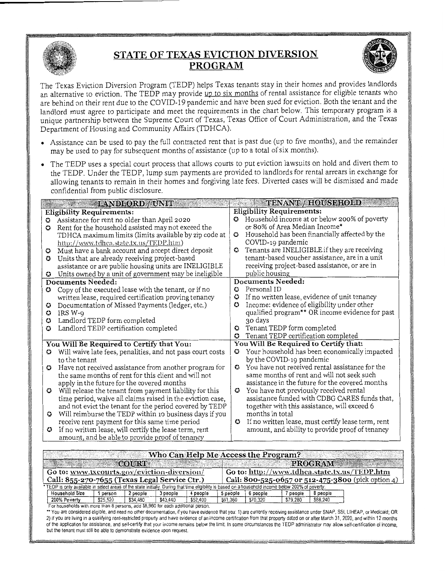

# **STATE OF TEXAS EVICTION DIVERSION PROGRAM**



···- - ---· \_\_ ... ··········-· J1

The Texas Eviction Diversion Program (TEDP) helps Texas tenants stay in their homes and provides landlords an alternative to eviction. The TEDP may provide up to six months of rental assistance for eligible tenants who are behind on their rent due to the COVID-19 pandemic and have been sued for eviction. Both the tenant and the landlord must agree to participate and meet the requirements in the chart below. This temporary program is a unique partnership between the Supreme Court of Texas, Texas Office of Court Administration, and the Texas Department of Housing and Community Affairs (TDHCA).

- Assistance can be used to pay the full contracted rent that is past due (up to five months), and the remainder may be used to pay for subsequent months of assistance (up to a total of six months).
- The TEDP uses a special court process that allows courts to put eviction lawsuits on hold and divert them to the TEDP. Under the TEDP, lump sum payments are provided to landlords for rental arrears in exchange for allowing tenants to remain in their homes and forgiving late fees. Diverted cases will be dismissed and made confidential from public disclosure.

|                  | confidential from public disclosure.                                                                                                                                                                                                 |               |                                                    |
|------------------|--------------------------------------------------------------------------------------------------------------------------------------------------------------------------------------------------------------------------------------|---------------|----------------------------------------------------|
|                  | <b>EXAMPLORE / UNIT AND LORE / UNIT AND LORE / UNIT AND LORE / UNIT AND LORE / UNIT AND LORE / UNIT AND LORE / UNIT AND LORE / UNIT AND LORE / UNIT AND LORE / UNIT AND LORE / UNIT AND LORE / UNIT AND LORE / UNIT AND LORE / U</b> |               | TENANT / HOUSEHOLD                                 |
|                  | <b>Eligibility Requirements:</b>                                                                                                                                                                                                     |               | <b>Eligibility Requirements:</b>                   |
| 0                | Assistance for rent no older than April 2020                                                                                                                                                                                         | $\omega$      | Household income at or below 200% of poverty       |
| o                | Rent for the household assisted may not exceed the                                                                                                                                                                                   |               | or 80% of Area Median Income*                      |
|                  | TDHCA maximum limits (limits available by zip code at                                                                                                                                                                                | $\omega$      | Household has been financially affected by the     |
|                  | http://www.tdhea.state.tx.us/TEDP.htm)                                                                                                                                                                                               |               | COVID-19 pandemic                                  |
| $\mathbf \omega$ | Must have a bank account and accept direct deposit                                                                                                                                                                                   | o             | Tenants are INELIGIBLE if they are receiving       |
| o                | Units that are already receiving project-based                                                                                                                                                                                       |               | tenant-based voucher assistance, are in a unit     |
|                  | assistance or are public housing units are INELIGIBLE                                                                                                                                                                                |               | receiving project-based assistance, or are in      |
| o                | Units owned by a unit of government may be ineligible                                                                                                                                                                                |               | public housing                                     |
|                  | Documents Needed:                                                                                                                                                                                                                    |               | <b>Documents Needed:</b>                           |
| 0                | Copy of the executed lease with the tenant, or if no                                                                                                                                                                                 | o             | Personal ID                                        |
|                  | written lease, required certification proving tenancy                                                                                                                                                                                | o             | If no written lease, evidence of unit tenancy      |
| ن                | Documentation of Missed Payments (ledger, etc.)                                                                                                                                                                                      | $\bm{\omega}$ | Income: evidence of eligibility under other        |
| €                | IRS W-9                                                                                                                                                                                                                              |               | qualified program** OR income evidence for past    |
| O                | Landlord TEDP form completed                                                                                                                                                                                                         |               | 30 days                                            |
| 0                | Landlord TEDP certification completed                                                                                                                                                                                                | $\mathbf{C}$  | Tenant TEDP form completed                         |
|                  |                                                                                                                                                                                                                                      | ≎             | Tenant TEDP certification completed                |
|                  | You Will Be Required to Certify that You:                                                                                                                                                                                            |               | You Will Be Required to Certify that:              |
| o                | Will waive late fees, penalities, and not pass court costs                                                                                                                                                                           | o             | Your household has been economically impacted      |
|                  | to the tenant                                                                                                                                                                                                                        |               | by the COVID-19 pandemic                           |
| o                | Have not received assistance from another program for                                                                                                                                                                                | o             | You have not received rental assistance for the    |
|                  | the same months of rent for this client and will not                                                                                                                                                                                 |               | same months of rent and will not seek such         |
|                  | apply in the future for the covered months                                                                                                                                                                                           |               | assistance in the future for the covered months    |
| 0                | Will release the tenant from payment liability for this                                                                                                                                                                              | 0.            | You have not previously received rental            |
|                  | time period, waive all claims raised in the eviction case,                                                                                                                                                                           |               | assistance funded with CDBG CARES funds that,      |
|                  | and not evict the tenant for the period covered by TEDP                                                                                                                                                                              |               | together with this assistance, will exceed 6       |
| o                | Will reimburse the TEDP within 10 business days if you                                                                                                                                                                               |               | months in total                                    |
|                  | receive rent payment for this same time period                                                                                                                                                                                       | o             | If no written lease, must certify lease term, rent |
| $\bm{\omega}$    | If no written lease, will certify the lease term, rent                                                                                                                                                                               |               | amount, and ability to provide proof of tenancy    |
|                  | amount, and be able to provide proof of tenancy                                                                                                                                                                                      |               |                                                    |

|                                                                                                                                                     |          |              |          |          |          | Who Can Help Me Access the Program? |          |                                              |                                                    |
|-----------------------------------------------------------------------------------------------------------------------------------------------------|----------|--------------|----------|----------|----------|-------------------------------------|----------|----------------------------------------------|----------------------------------------------------|
|                                                                                                                                                     |          | <b>COURT</b> |          |          |          |                                     |          | <b>PROGRAM</b>                               |                                                    |
| Go to: www.txcourts.gov/eviction-diversion/                                                                                                         |          |              |          |          |          |                                     |          | Go to: http://www.tdhca.state.tx.us/TEDP.htm |                                                    |
| Call: 855-270-7655 (Texas Legal Service Ctr.)                                                                                                       |          |              |          |          |          |                                     |          |                                              | Call: 800-525-0657 or 512-475-3800 (pick option 4) |
| * TEDP is only available in select areas of the state initially. During that time eligibility is based on a household income below 200% of poverty: |          |              |          |          |          |                                     |          |                                              |                                                    |
| <b>Household Size</b>                                                                                                                               | person   | 2 people     | 3 people | 4 people | 5 people | 6 people                            | 7 people | 8 people                                     |                                                    |
| 200% Poverty                                                                                                                                        | \$25.520 | \$34,480     | \$43.440 | \$52,400 | \$61,360 | \$70,320                            | \$79,280 | \$88,240                                     |                                                    |
| For households with more than 8 persons, add \$8,960 for each additional person.                                                                    |          |              |          |          |          |                                     |          |                                              |                                                    |

\*\* You are considered eligible, and need no other documentation, if you have evidence that you: 1) are currently receiving assistance under SNAP, SSI, LIHEAP, or Medicaid; OR 2) if you are living in a qualifying rent-restricted property and have evidence of an income certification from that property dated on or after March 31, 2020, and within 12 months of the application for assistance, and self-certify that your income remains below the limit. In some circumstances the TEDP administrator may allow self-certification of income, but the tenant must still be able to demons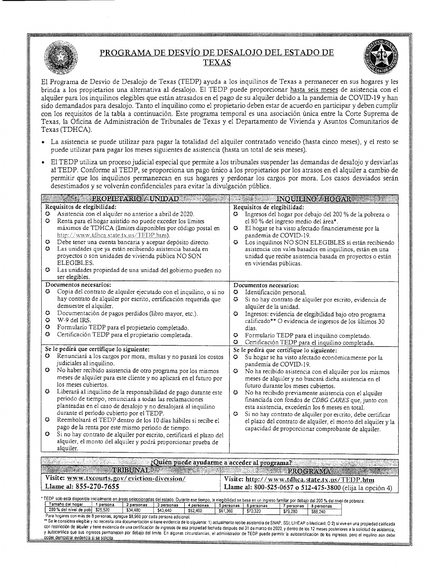

# **PROGRAMA DE DESVIO DE DESALOJO** DEL **ESTADO DE TEXAS**



El Programa de Desvio de Desalojo de Texas (TEDP) ayuda a los inquilinos de Texas a permanecer en sus hogares y les brinda a los propietarios una altemativa al desalojo. El TEDP puede proporcionar hasta seis meses de asistencia con el alquiler para los inquilinos elegibles que estan atrasados en el pago de su alquiler debido a la pandemia de COVID-19 y han sido demandados para desalojo. Tanto el inquilino como el propietario deben estar de acuerdo en participar y deben cumplir con los requisitos de la tabla a continuación. Este programa temporal es una asociación única entre la Corte Suprema de Texas, la Oficina de Administraci6n de Tribunales de Texas y el Departamento de Vivienda y Asuntos Comunitarios de Texas (TDHCA).

- La asistencia se puede utilizar para pagar la totalidad del alquiler contratado vencido (hasta cinco meses), y el resto se puede utilizar para pagar los meses siguientes de asistencia (hasta un total de seis meses).
- El TEDP utiliza un proceso judicial especial que permite a los tribunales suspender las demandas de desalojo y desviarlas al TEDP. Conforme al TEDP, se proporciona un pago unico a los propietarios por los atrasos en el alquiler a cambio de permitir que los inquilinos permanezcan en sus hogares y perdonar los cargos por mora. Los casos desviados seran desestimados y se volverán confidenciales para evitar la divulgación pública.

|                                         | <b>EXECUTED PROPIETARIO / UNIDAD AND ARRIVES AND ARRIVES AND ARRIVES AND ARRIVES AND ARRIVES AND ARRIVES AND ARR</b>                                                                                                                                                                                                                                                                                                                                                                                                                                                                                                                                                                                                                                                                                                        | <b>EXAMPLE INQUILINO / HOGARS</b>                                                                                                                                                                                                                                                                                                                                                                                                                                                                                                                                                                                                                                                                                       |
|-----------------------------------------|-----------------------------------------------------------------------------------------------------------------------------------------------------------------------------------------------------------------------------------------------------------------------------------------------------------------------------------------------------------------------------------------------------------------------------------------------------------------------------------------------------------------------------------------------------------------------------------------------------------------------------------------------------------------------------------------------------------------------------------------------------------------------------------------------------------------------------|-------------------------------------------------------------------------------------------------------------------------------------------------------------------------------------------------------------------------------------------------------------------------------------------------------------------------------------------------------------------------------------------------------------------------------------------------------------------------------------------------------------------------------------------------------------------------------------------------------------------------------------------------------------------------------------------------------------------------|
| О<br>٥<br>0.<br>0.<br>O<br>۰<br>٥<br>O. | Requisitos de elegibilidad:<br>Asistencia con el alquiler no anterior a abril de 2020.<br>Renta para el hogar asistido no puede exceder los límites<br>máximos de TDHCA (límites disponibles por código postal en<br>http://www.tdhca.state.tx.us/TEDP.htm).<br>Debe tener una cuenta bancaria y aceptar depósito directo.<br>Las unidades que ya están recibiendo asistencia basada en<br>proyectos o son unidades de vivienda pública NO SON<br><b>ELEGIBLES.</b><br>Las unidades propiedad de una unidad del gobierno pueden no<br>ser elegibles.<br>Documentos necesarios:<br>Copia del contrato de alquiler ejecutado con el inquilino, o si no<br>hay contrato de alquiler por escrito, certificación requerida que<br>demuestre el alquiler.<br>Documentación de pagos perdidos (libro mayor, etc.).<br>W-9 del IRS. | Requisitos de elegibilidad:<br>Ingresos del hogar por debajo del 200 % de la pobreza o<br>0.<br>el 80 % del ingreso medio del área*.<br>El hogar se ha visto afectado financieramente por la<br>o<br>pandemia de COVID-19.<br>٥<br>Los inquilinos NO SON ELEGIBLES si están recibiendo<br>asistencia con vales basados en inquilinos, están en una<br>unidad que recibe asistencia basada en proyectos o están<br>en viviendas públicas.<br>Documentos necesarios:<br>٥<br>Identificación personal.<br>o<br>Si no hay contrato de alquiler por escrito, evidencia de<br>alquiler de la unidad.<br>o<br>Ingresos: evidencia de elegibilidad bajo otro programa<br>calificado** O evidencia de ingresos de los últimos 30 |
| 0                                       | Formulario TEDP para el propietario completado.                                                                                                                                                                                                                                                                                                                                                                                                                                                                                                                                                                                                                                                                                                                                                                             | dias.                                                                                                                                                                                                                                                                                                                                                                                                                                                                                                                                                                                                                                                                                                                   |
| O                                       | Certificación TEDP para el propietario completada.                                                                                                                                                                                                                                                                                                                                                                                                                                                                                                                                                                                                                                                                                                                                                                          | ٥<br>Formulario TEDP para el inquilino completado.                                                                                                                                                                                                                                                                                                                                                                                                                                                                                                                                                                                                                                                                      |
|                                         |                                                                                                                                                                                                                                                                                                                                                                                                                                                                                                                                                                                                                                                                                                                                                                                                                             | Ο<br>Certificación TEDP para el inquilino completada.                                                                                                                                                                                                                                                                                                                                                                                                                                                                                                                                                                                                                                                                   |
| o                                       | Se le pedirá que certifique lo siguiente:<br>Renunciará a los cargos por mora, multas y no pasará los costos                                                                                                                                                                                                                                                                                                                                                                                                                                                                                                                                                                                                                                                                                                                | Se le pedirá que certifique lo siguiente:<br>o                                                                                                                                                                                                                                                                                                                                                                                                                                                                                                                                                                                                                                                                          |
|                                         | judiciales al inquilino.                                                                                                                                                                                                                                                                                                                                                                                                                                                                                                                                                                                                                                                                                                                                                                                                    | Su hogar se ha visto afectado económicamente por la<br>pandemia de COVID-19.                                                                                                                                                                                                                                                                                                                                                                                                                                                                                                                                                                                                                                            |
| $\bullet$                               | No haber recibido asistencia de otro programa por los mismos                                                                                                                                                                                                                                                                                                                                                                                                                                                                                                                                                                                                                                                                                                                                                                | 0.<br>No ha recibido asistencia con el alquiler por los mismos                                                                                                                                                                                                                                                                                                                                                                                                                                                                                                                                                                                                                                                          |
|                                         | meses de alquiler para este cliente y no aplicará en el futuro por                                                                                                                                                                                                                                                                                                                                                                                                                                                                                                                                                                                                                                                                                                                                                          | meses de alquiler y no buscará dicha asistencia en el                                                                                                                                                                                                                                                                                                                                                                                                                                                                                                                                                                                                                                                                   |
| o                                       | los meses cubiertos.<br>Liberará al inquilino de la responsabilidad de pago durante este                                                                                                                                                                                                                                                                                                                                                                                                                                                                                                                                                                                                                                                                                                                                    | futuro durante los meses cubiertos.<br>O                                                                                                                                                                                                                                                                                                                                                                                                                                                                                                                                                                                                                                                                                |
|                                         | período de tiempo, renunciará a todas las reclamaciones                                                                                                                                                                                                                                                                                                                                                                                                                                                                                                                                                                                                                                                                                                                                                                     | No ha recibido previamente asistencia con el alquiler<br>financiada con fondos de CDBG CARES que, junto con                                                                                                                                                                                                                                                                                                                                                                                                                                                                                                                                                                                                             |
|                                         | planteadas en el caso de desalojo y no desalojará al inquilino                                                                                                                                                                                                                                                                                                                                                                                                                                                                                                                                                                                                                                                                                                                                                              | esta asistencia, excederán los 6 meses en total.                                                                                                                                                                                                                                                                                                                                                                                                                                                                                                                                                                                                                                                                        |
| ۰                                       | durante el período cubierto por el TEDP.<br>Reembolsará el TEDP dentro de los 10 días hábiles si recibe el                                                                                                                                                                                                                                                                                                                                                                                                                                                                                                                                                                                                                                                                                                                  | O<br>Si no hay contrato de alquiler por escrito, debe certificar                                                                                                                                                                                                                                                                                                                                                                                                                                                                                                                                                                                                                                                        |
|                                         | pago de la renta por este mismo período de tiempo.                                                                                                                                                                                                                                                                                                                                                                                                                                                                                                                                                                                                                                                                                                                                                                          | el plazo del contrato de alquiler, el monto del alquiler y la<br>capacidad de proporcionar comprobante de alquiler.                                                                                                                                                                                                                                                                                                                                                                                                                                                                                                                                                                                                     |
| $\bullet$                               | Si no hay contrato de alquiler por escrito, certificará el plazo del                                                                                                                                                                                                                                                                                                                                                                                                                                                                                                                                                                                                                                                                                                                                                        |                                                                                                                                                                                                                                                                                                                                                                                                                                                                                                                                                                                                                                                                                                                         |
|                                         | alquiler, el monto del alquiler y podrá proporcionar prueba de                                                                                                                                                                                                                                                                                                                                                                                                                                                                                                                                                                                                                                                                                                                                                              |                                                                                                                                                                                                                                                                                                                                                                                                                                                                                                                                                                                                                                                                                                                         |
|                                         | alquiler.                                                                                                                                                                                                                                                                                                                                                                                                                                                                                                                                                                                                                                                                                                                                                                                                                   |                                                                                                                                                                                                                                                                                                                                                                                                                                                                                                                                                                                                                                                                                                                         |
| a kalendar                              | San Tag<br>¿Quién puede ayudarme a acceder al programa?                                                                                                                                                                                                                                                                                                                                                                                                                                                                                                                                                                                                                                                                                                                                                                     |                                                                                                                                                                                                                                                                                                                                                                                                                                                                                                                                                                                                                                                                                                                         |
|                                         | <b>TRIBUNAL</b>                                                                                                                                                                                                                                                                                                                                                                                                                                                                                                                                                                                                                                                                                                                                                                                                             | <b>EXAMPLE PROGRAMA</b>                                                                                                                                                                                                                                                                                                                                                                                                                                                                                                                                                                                                                                                                                                 |
|                                         | Visite: www.txcourts.gov/eviction-diversion/                                                                                                                                                                                                                                                                                                                                                                                                                                                                                                                                                                                                                                                                                                                                                                                | Visite: http://www.tdhca.state.tx.us/TEDP.htm                                                                                                                                                                                                                                                                                                                                                                                                                                                                                                                                                                                                                                                                           |
|                                         | Llame al: 855-270-7655                                                                                                                                                                                                                                                                                                                                                                                                                                                                                                                                                                                                                                                                                                                                                                                                      | Llame al: 800-525-0657 o 512-475-3800 (elija la opción 4)                                                                                                                                                                                                                                                                                                                                                                                                                                                                                                                                                                                                                                                               |
|                                         | * TEDP sob está disponible inicialmente en áreas seleccionadas del estado. Durante ese tiempo, la elegibilidad se basa en un ingreso familiar por debajo del 200 % del nivel de pobreza:                                                                                                                                                                                                                                                                                                                                                                                                                                                                                                                                                                                                                                    |                                                                                                                                                                                                                                                                                                                                                                                                                                                                                                                                                                                                                                                                                                                         |
|                                         | Tamaño del hogar<br>1 persona<br>2 personas<br>3 personas<br>4 personas<br>200 % del nivel de pobl \$25,520<br>\$34,480<br>\$43.440<br>\$52,400                                                                                                                                                                                                                                                                                                                                                                                                                                                                                                                                                                                                                                                                             | 5 personas<br>6 personas<br>7 personas<br>8 personas                                                                                                                                                                                                                                                                                                                                                                                                                                                                                                                                                                                                                                                                    |
|                                         | \$61,360<br>Para hogares con más de 8 personas, agregue \$8,960 por cada persona adicional.                                                                                                                                                                                                                                                                                                                                                                                                                                                                                                                                                                                                                                                                                                                                 | \$70,320<br>\$79,280<br>\$88,240                                                                                                                                                                                                                                                                                                                                                                                                                                                                                                                                                                                                                                                                                        |
|                                         | ** Se le considera elegible y no necesita otra documentación si tiene evidencia de lo siguiente: 1) actualmente recibe asistencia de SNAP, SSI, LIHEAP o Medicaid; O 2) si vive en una propiedad calificada                                                                                                                                                                                                                                                                                                                                                                                                                                                                                                                                                                                                                 |                                                                                                                                                                                                                                                                                                                                                                                                                                                                                                                                                                                                                                                                                                                         |

con restricción de akuiler y tiene evidencia de una certificación de ingresos de esa propiedad fechada después del 31 de marzo de 2020, y dentro de los 12 meses posteriores a la solicitud de asistencia, y autocerturca que sus ingresos permanecen por debajo del limite. En algunas circunstancias, el administrador de TEDP puede permitir la autocertificación de los ingresos, pero el inquilino aún debe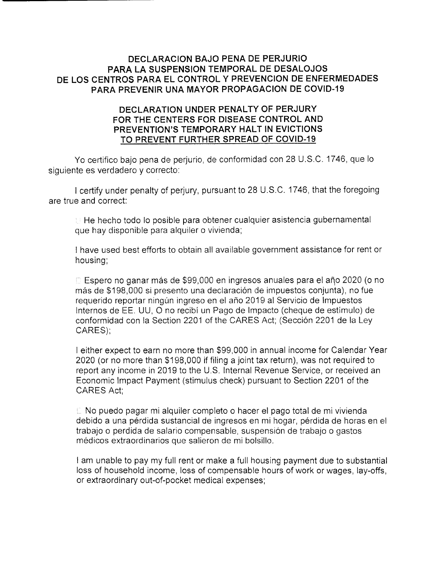## **DECLARACION BAJO PENA DE PERJURIO PARA LA SUSPENSION TEMPORAL DE DESALOJOS DE LOS CENTROS PARA EL CONTROL Y PREVENCION DE ENFERMEDADES PARA PREVENIR UNA MAYOR PROPAGACION DE COVID-19**

## **DECLARATION UNDER PENALTY OF PERJURY FOR THE CENTERS FOR DISEASE CONTROL AND PREVENTION'S TEMPORARY HALT IN EVICTIONS TO PREVENT FURTHER SPREAD OF COVID-19**

Yo certifico bajo pena de perjurio, de conformidad con 28 U.S.C. 1746, que lo siguiente es verdadero y correcto:

I certify under penalty of perjury, pursuant to 28 U.S.C. 1746, that the foregoing are true and correct:

 $\mathbb H$  He hecho todo lo posible para obtener cualquier asistencia gubernamental que hay disponible para alquiler o vivienda;

I have used best efforts to obtain all available government assistance for rent or housing;

 $\odot$  Espero no ganar más de \$99,000 en ingresos anuales para el año 2020 (o no más de \$198,000 si presento una declaración de impuestos conjunta), no fue requerido reportar ningún ingreso en el año 2019 al Servicio de Impuestos lnternos de EE. UU, 0 no recibi un Pago de lmpacto (cheque de estimulo) de conformidad con la Section 2201 of the CARES Act; (Secci6n 2201 de la Ley CARES);

I either expect to earn no more than \$99,000 in annual income for Calendar Year 2020 (or no more than \$198,000 if filing a joint tax return), was not required to report any income in 2019 to the U.S. Internal Revenue Service, or received an Economic Impact Payment (stimulus check) pursuant to Section 2201 of the CARES Act;

 $\mathbb E$  No puedo pagar mi alquiler completo o hacer el pago total de mi vivienda debido a una pérdida sustancial de ingresos en mi hogar, pérdida de horas en el trabajo o perdida de salario compensable, suspension de trabajo o gastos medicos extraordinarios que salieron de mi bolsillo.

I am unable to pay my full rent or make a full housing payment due to substantial loss of household income, loss of compensable hours of work or wages, lay-offs, or extraordinary out-of-pocket medical expenses;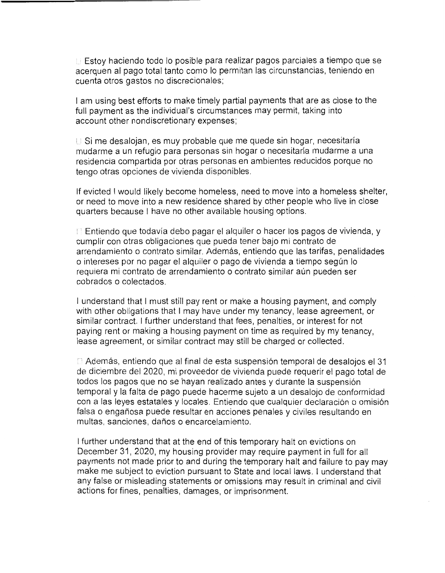$\Box$  Estoy haciendo todo lo posible para realizar pagos parciales a tiempo que se acerquen al pago total tanto como lo permitan las circunstancias, teniendo en cuenta otros gastos no discrecionales:

I am using best efforts to make timely partial payments that are as close to the full payment as the individual's circumstances may permit, taking into account other nondiscretionary expenses;

Si me desalojan, es muy probable que me quede sin hogar, necesitarfa mudarme a un refugio para personas sin hogar o necesitarfa mudarme a una residencia compartida por otras personas en ambientes reducidos porque no tengo otras opciones de vivienda disponibles.

If evicted I would likely become homeless, need to move into a homeless shelter, or need to move into a new residence shared by other people who live in close quarters because I have no other available housing options.

 $\Box$  Entiendo que todavía debo pagar el alquiler o hacer los pagos de vivienda, y cumplir con otras obligaciones que pueda tener bajo mi contrato de arrendamiento o contrato similar. Ademas, entiendo que las tarifas, penalidades o intereses porno pagar el alquiler o pago de vivienda a tiempo segun lo requiera mi contrato de arrendamiento o contrato similar aún pueden ser cobrados o colectados.

I understand that I must still pay rent or make a housing payment, and comply with other obligations that I may have under my tenancy, lease agreement, or similar contract. I further understand that fees, penalties, or interest for not paying rent or making a housing payment on time as required by my tenancy, lease agreement, or similar contract may still be charged or collected.

 $\Box$  Además, entiendo que al final de esta suspensión temporal de desalojos el 31 de diciembre del 2020, mi proveedor de vivienda puede requerir el pago total de todos los pagos que no se hayan realizado antes y durante la suspension temporal y la falta de pago puede hacerme sujeto a un desalojo de conformidad con a las leyes estatales y locales. Entiendo que cualquier declaración o omisión falsa o engañosa puede resultar en acciones penales y civiles resultando en multas, sanciones, daños o encarcelamiento.

I further understand that at the end of this temporary halt on evictions on December 31, 2020, my housing provider may require payment in full for all payments not made prior to and during the temporary halt and failure to pay may make me subject to eviction pursuant to State and local laws. I understand that any false or misleading statements or omissions may result in criminal and civil actions for fines, penalties, damages, or imprisonment.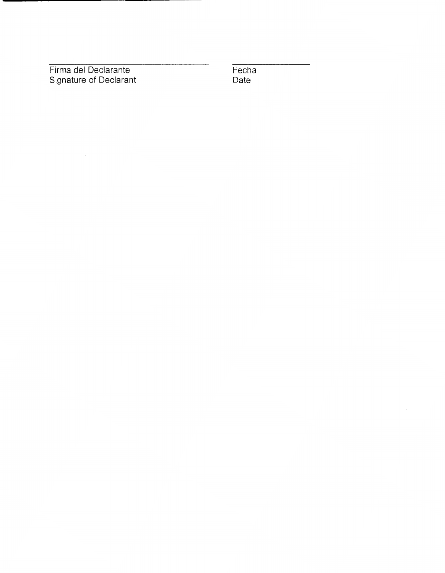Firma del Declarante Signature of Declarant **Fecha** Date

 $\ddot{\phantom{a}}$ 

 $\hat{\mathcal{A}}$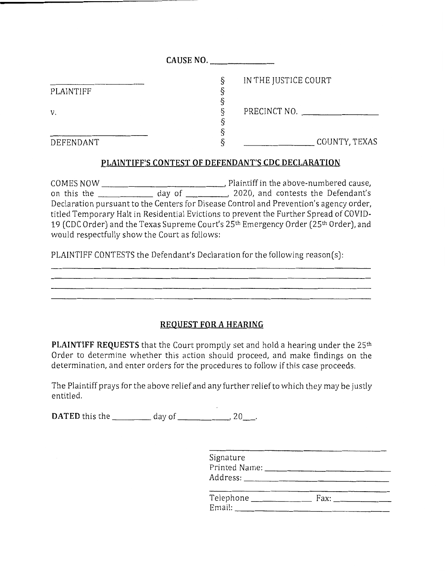|           | CAUSE NO. |                      |
|-----------|-----------|----------------------|
|           | δ         | IN THE JUSTICE COURT |
| PLAINTIFF |           |                      |
|           |           |                      |
| v.        |           | PRECINCT NO.         |
|           |           |                      |
|           |           |                      |
| DEFENDANT |           | COUNTY, TEXAS        |

### **PLAINTIFF'S CONTEST OF DEFENDANT'S CDC DECLARATION**

COMES NOW , Plaintiff in the above-numbered cause, on this the \_\_\_\_\_\_\_\_\_\_\_\_\_\_ day of \_\_\_\_\_\_\_\_\_\_, 2020, and contests the Defendant's Declaration pursuant to the Centers for Disease Control and Prevention's agency order, titled Temporary Halt in Residential Evictions to prevent the Further Spread of COVID-19 (CDC Order) and the Texas Supreme Court's 25<sup>th</sup> Emergency Order (25<sup>th</sup> Order), and would respectfully show the Court as follows:

PLAINTIFF CONTESTS the Defendant's Declaration for the following reason(s):

## **REQUEST FOR A HEARING**

**PLAINTIFF REQUESTS** that the Court promptly set and hold a hearing under the 25<sup>th</sup> Order to determine whether this action should proceed, and make findings on the determination, and enter orders for the procedures to follow if this case proceeds.

The Plaintiff prays for the above relief and any further relief to which they may be justly entitled.

**DATED** this the  $\qquad \qquad$  day of  $\qquad \qquad$ , 20

| Signature<br>Printed Name:<br>Address: |  |
|----------------------------------------|--|
| Telephone                              |  |

| Telephone | Fax: |
|-----------|------|
| Email:    |      |
|           |      |